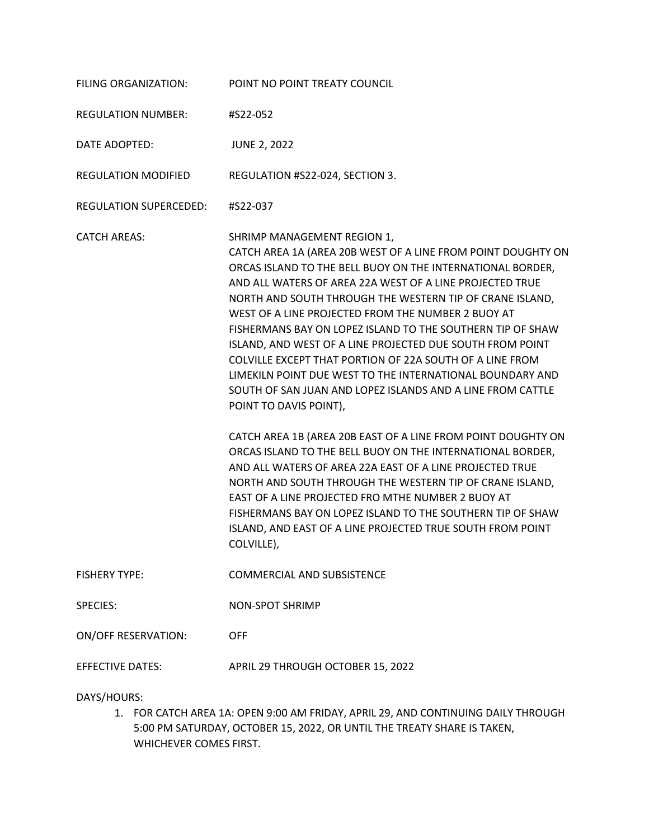| FILING ORGANIZATION:       | POINT NO POINT TREATY COUNCIL                                                                                                                                                                                                                                                                                                                                                                                                                                                                                                                                                                                                                                                                                                                                                                                                                                                                                                                                                                                                                                                                                                             |
|----------------------------|-------------------------------------------------------------------------------------------------------------------------------------------------------------------------------------------------------------------------------------------------------------------------------------------------------------------------------------------------------------------------------------------------------------------------------------------------------------------------------------------------------------------------------------------------------------------------------------------------------------------------------------------------------------------------------------------------------------------------------------------------------------------------------------------------------------------------------------------------------------------------------------------------------------------------------------------------------------------------------------------------------------------------------------------------------------------------------------------------------------------------------------------|
| <b>REGULATION NUMBER:</b>  | #S22-052                                                                                                                                                                                                                                                                                                                                                                                                                                                                                                                                                                                                                                                                                                                                                                                                                                                                                                                                                                                                                                                                                                                                  |
| DATE ADOPTED:              | <b>JUNE 2, 2022</b>                                                                                                                                                                                                                                                                                                                                                                                                                                                                                                                                                                                                                                                                                                                                                                                                                                                                                                                                                                                                                                                                                                                       |
| <b>REGULATION MODIFIED</b> | REGULATION #S22-024, SECTION 3.                                                                                                                                                                                                                                                                                                                                                                                                                                                                                                                                                                                                                                                                                                                                                                                                                                                                                                                                                                                                                                                                                                           |
| REGULATION SUPERCEDED:     | #S22-037                                                                                                                                                                                                                                                                                                                                                                                                                                                                                                                                                                                                                                                                                                                                                                                                                                                                                                                                                                                                                                                                                                                                  |
| <b>CATCH AREAS:</b>        | SHRIMP MANAGEMENT REGION 1,<br>CATCH AREA 1A (AREA 20B WEST OF A LINE FROM POINT DOUGHTY ON<br>ORCAS ISLAND TO THE BELL BUOY ON THE INTERNATIONAL BORDER,<br>AND ALL WATERS OF AREA 22A WEST OF A LINE PROJECTED TRUE<br>NORTH AND SOUTH THROUGH THE WESTERN TIP OF CRANE ISLAND,<br>WEST OF A LINE PROJECTED FROM THE NUMBER 2 BUOY AT<br>FISHERMANS BAY ON LOPEZ ISLAND TO THE SOUTHERN TIP OF SHAW<br>ISLAND, AND WEST OF A LINE PROJECTED DUE SOUTH FROM POINT<br>COLVILLE EXCEPT THAT PORTION OF 22A SOUTH OF A LINE FROM<br>LIMEKILN POINT DUE WEST TO THE INTERNATIONAL BOUNDARY AND<br>SOUTH OF SAN JUAN AND LOPEZ ISLANDS AND A LINE FROM CATTLE<br>POINT TO DAVIS POINT),<br>CATCH AREA 1B (AREA 20B EAST OF A LINE FROM POINT DOUGHTY ON<br>ORCAS ISLAND TO THE BELL BUOY ON THE INTERNATIONAL BORDER,<br>AND ALL WATERS OF AREA 22A EAST OF A LINE PROJECTED TRUE<br>NORTH AND SOUTH THROUGH THE WESTERN TIP OF CRANE ISLAND,<br>EAST OF A LINE PROJECTED FRO MTHE NUMBER 2 BUOY AT<br>FISHERMANS BAY ON LOPEZ ISLAND TO THE SOUTHERN TIP OF SHAW<br>ISLAND, AND EAST OF A LINE PROJECTED TRUE SOUTH FROM POINT<br>COLVILLE), |
| <b>FISHERY TYPE:</b>       | <b>COMMERCIAL AND SUBSISTENCE</b>                                                                                                                                                                                                                                                                                                                                                                                                                                                                                                                                                                                                                                                                                                                                                                                                                                                                                                                                                                                                                                                                                                         |
| <b>SPECIES:</b>            | <b>NON-SPOT SHRIMP</b>                                                                                                                                                                                                                                                                                                                                                                                                                                                                                                                                                                                                                                                                                                                                                                                                                                                                                                                                                                                                                                                                                                                    |
| <b>ON/OFF RESERVATION:</b> | <b>OFF</b>                                                                                                                                                                                                                                                                                                                                                                                                                                                                                                                                                                                                                                                                                                                                                                                                                                                                                                                                                                                                                                                                                                                                |
| <b>EFFECTIVE DATES:</b>    | APRIL 29 THROUGH OCTOBER 15, 2022                                                                                                                                                                                                                                                                                                                                                                                                                                                                                                                                                                                                                                                                                                                                                                                                                                                                                                                                                                                                                                                                                                         |

DAYS/HOURS:

1. FOR CATCH AREA 1A: OPEN 9:00 AM FRIDAY, APRIL 29, AND CONTINUING DAILY THROUGH 5:00 PM SATURDAY, OCTOBER 15, 2022, OR UNTIL THE TREATY SHARE IS TAKEN, WHICHEVER COMES FIRST.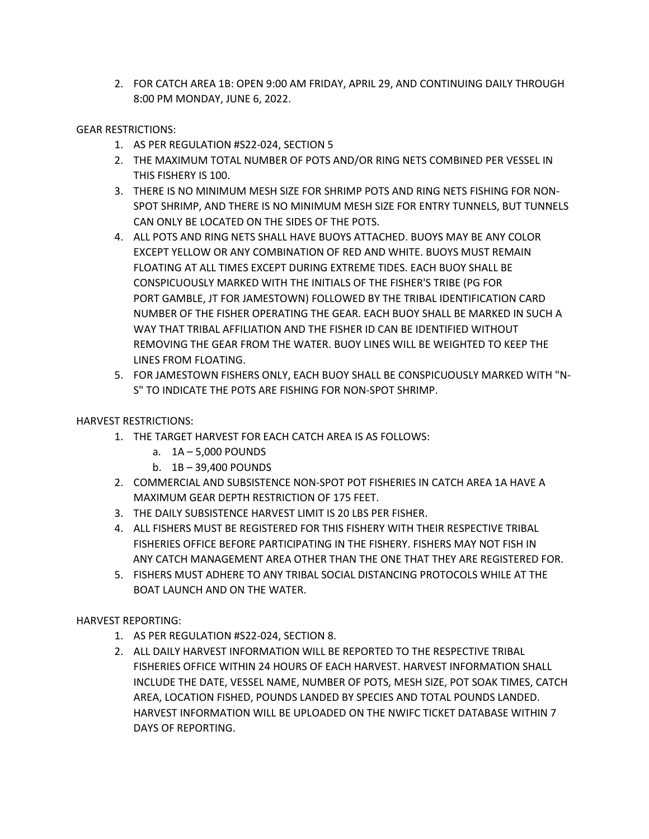2. FOR CATCH AREA 1B: OPEN 9:00 AM FRIDAY, APRIL 29, AND CONTINUING DAILY THROUGH 8:00 PM MONDAY, JUNE 6, 2022.

## GEAR RESTRICTIONS:

- 1. AS PER REGULATION #S22-024, SECTION 5
- 2. THE MAXIMUM TOTAL NUMBER OF POTS AND/OR RING NETS COMBINED PER VESSEL IN THIS FISHERY IS 100.
- 3. THERE IS NO MINIMUM MESH SIZE FOR SHRIMP POTS AND RING NETS FISHING FOR NON-SPOT SHRIMP, AND THERE IS NO MINIMUM MESH SIZE FOR ENTRY TUNNELS, BUT TUNNELS CAN ONLY BE LOCATED ON THE SIDES OF THE POTS.
- 4. ALL POTS AND RING NETS SHALL HAVE BUOYS ATTACHED. BUOYS MAY BE ANY COLOR EXCEPT YELLOW OR ANY COMBINATION OF RED AND WHITE. BUOYS MUST REMAIN FLOATING AT ALL TIMES EXCEPT DURING EXTREME TIDES. EACH BUOY SHALL BE CONSPICUOUSLY MARKED WITH THE INITIALS OF THE FISHER'S TRIBE (PG FOR PORT GAMBLE, JT FOR JAMESTOWN) FOLLOWED BY THE TRIBAL IDENTIFICATION CARD NUMBER OF THE FISHER OPERATING THE GEAR. EACH BUOY SHALL BE MARKED IN SUCH A WAY THAT TRIBAL AFFILIATION AND THE FISHER ID CAN BE IDENTIFIED WITHOUT REMOVING THE GEAR FROM THE WATER. BUOY LINES WILL BE WEIGHTED TO KEEP THE LINES FROM FLOATING.
- 5. FOR JAMESTOWN FISHERS ONLY, EACH BUOY SHALL BE CONSPICUOUSLY MARKED WITH "N-S" TO INDICATE THE POTS ARE FISHING FOR NON-SPOT SHRIMP.

HARVEST RESTRICTIONS:

- 1. THE TARGET HARVEST FOR EACH CATCH AREA IS AS FOLLOWS:
	- a. 1A 5,000 POUNDS
	- b. 1B 39,400 POUNDS
- 2. COMMERCIAL AND SUBSISTENCE NON-SPOT POT FISHERIES IN CATCH AREA 1A HAVE A MAXIMUM GEAR DEPTH RESTRICTION OF 175 FEET.
- 3. THE DAILY SUBSISTENCE HARVEST LIMIT IS 20 LBS PER FISHER.
- 4. ALL FISHERS MUST BE REGISTERED FOR THIS FISHERY WITH THEIR RESPECTIVE TRIBAL FISHERIES OFFICE BEFORE PARTICIPATING IN THE FISHERY. FISHERS MAY NOT FISH IN ANY CATCH MANAGEMENT AREA OTHER THAN THE ONE THAT THEY ARE REGISTERED FOR.
- 5. FISHERS MUST ADHERE TO ANY TRIBAL SOCIAL DISTANCING PROTOCOLS WHILE AT THE BOAT LAUNCH AND ON THE WATER.

HARVEST REPORTING:

- 1. AS PER REGULATION #S22-024, SECTION 8.
- 2. ALL DAILY HARVEST INFORMATION WILL BE REPORTED TO THE RESPECTIVE TRIBAL FISHERIES OFFICE WITHIN 24 HOURS OF EACH HARVEST. HARVEST INFORMATION SHALL INCLUDE THE DATE, VESSEL NAME, NUMBER OF POTS, MESH SIZE, POT SOAK TIMES, CATCH AREA, LOCATION FISHED, POUNDS LANDED BY SPECIES AND TOTAL POUNDS LANDED. HARVEST INFORMATION WILL BE UPLOADED ON THE NWIFC TICKET DATABASE WITHIN 7 DAYS OF REPORTING.